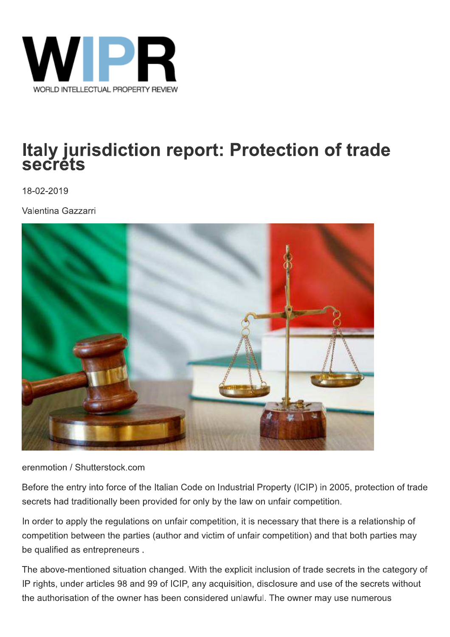

## Italy jurisdiction report: Protection of trade secréts

18-02-2019

Valentina Gazzarri



erenmotion / Shutterstock.com

Before the entry into force of the Italian Code on Industrial Property (ICIP) in 2005, protection of trade secrets had traditionally been provided for only by the law on unfair competition.

In order to apply the regulations on unfair competition, it is necessary that there is a relationship of competition between the parties (author and victim of unfair competition) and that both parties may be qualified as entrepreneurs.

The above-mentioned situation changed. With the explicit inclusion of trade secrets in the category of IP rights, under articles 98 and 99 of ICIP, any acquisition, disclosure and use of the secrets without the authorisation of the owner has been considered unlawful. The owner may use numerous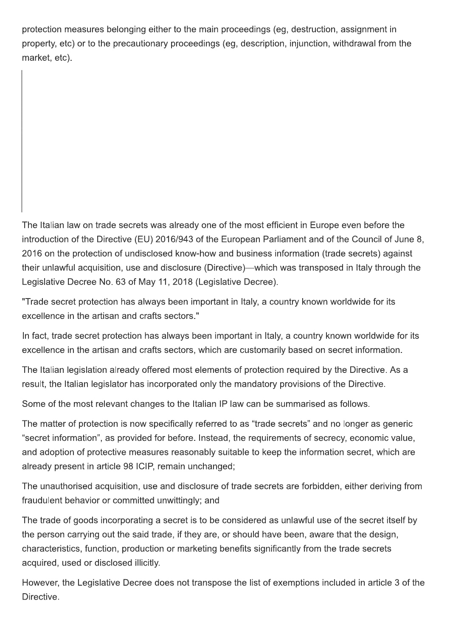protection measures belonging either to the main proceedings (eg. destruction, assignment in property, etc) or to the precautionary proceedings (eg, description, injunction, withdrawal from the market, etc).

The Italian law on trade secrets was already one of the most efficient in Europe even before the introduction of the Directive (EU) 2016/943 of the European Parliament and of the Council of June 8. 2016 on the protection of undisclosed know-how and business information (trade secrets) against their unlawful acquisition, use and disclosure (Directive)—which was transposed in Italy through the Legislative Decree No. 63 of May 11, 2018 (Legislative Decree).

"Trade secret protection has always been important in Italy, a country known worldwide for its excellence in the artisan and crafts sectors."

In fact, trade secret protection has always been important in Italy, a country known worldwide for its excellence in the artisan and crafts sectors, which are customarily based on secret information.

The Italian legislation already offered most elements of protection required by the Directive. As a result, the Italian legislator has incorporated only the mandatory provisions of the Directive.

Some of the most relevant changes to the Italian IP law can be summarised as follows.

The matter of protection is now specifically referred to as "trade secrets" and no longer as generic "secret information", as provided for before. Instead, the requirements of secrecy, economic value, and adoption of protective measures reasonably suitable to keep the information secret, which are already present in article 98 ICIP, remain unchanged;

The unauthorised acquisition, use and disclosure of trade secrets are forbidden, either deriving from fraudulent behavior or committed unwittingly; and

The trade of goods incorporating a secret is to be considered as unlawful use of the secret itself by the person carrying out the said trade, if they are, or should have been, aware that the design, characteristics, function, production or marketing benefits significantly from the trade secrets acquired, used or disclosed illicitly.

However, the Legislative Decree does not transpose the list of exemptions included in article 3 of the Directive.